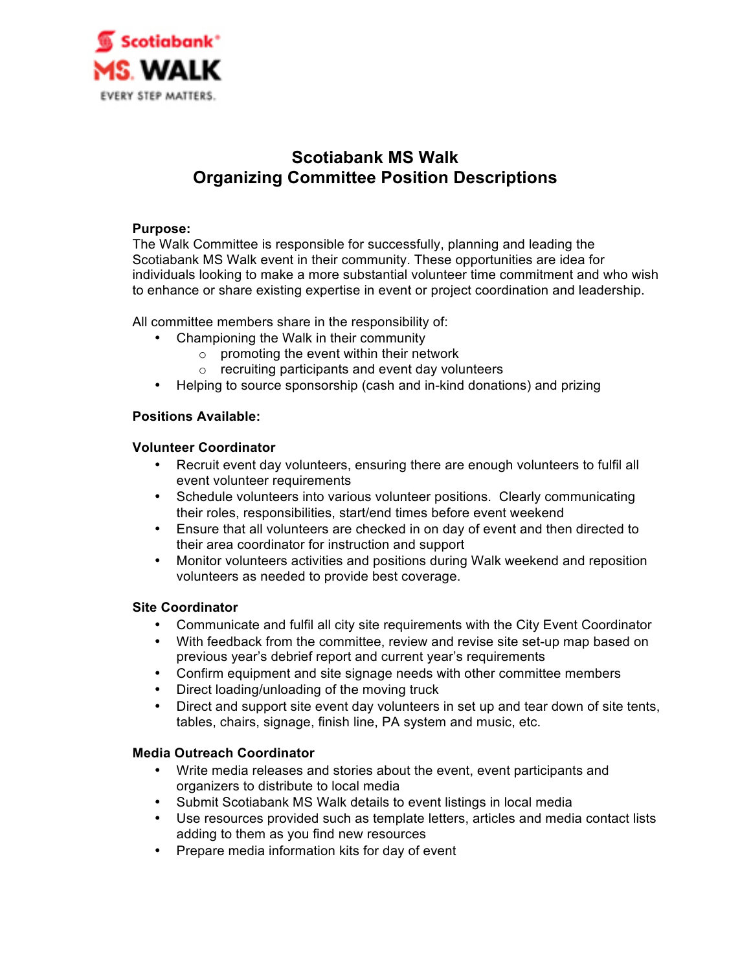

# **Scotiabank MS Walk Organizing Committee Position Descriptions**

## **Purpose:**

The Walk Committee is responsible for successfully, planning and leading the Scotiabank MS Walk event in their community. These opportunities are idea for individuals looking to make a more substantial volunteer time commitment and who wish to enhance or share existing expertise in event or project coordination and leadership.

All committee members share in the responsibility of:

- Championing the Walk in their community
	- o promoting the event within their network
	- o recruiting participants and event day volunteers
- Helping to source sponsorship (cash and in-kind donations) and prizing

## **Positions Available:**

### **Volunteer Coordinator**

- Recruit event day volunteers, ensuring there are enough volunteers to fulfil all event volunteer requirements
- Schedule volunteers into various volunteer positions. Clearly communicating their roles, responsibilities, start/end times before event weekend
- Ensure that all volunteers are checked in on day of event and then directed to their area coordinator for instruction and support
- Monitor volunteers activities and positions during Walk weekend and reposition volunteers as needed to provide best coverage.

## **Site Coordinator**

- Communicate and fulfil all city site requirements with the City Event Coordinator
- With feedback from the committee, review and revise site set-up map based on previous year's debrief report and current year's requirements
- Confirm equipment and site signage needs with other committee members
- Direct loading/unloading of the moving truck
- Direct and support site event day volunteers in set up and tear down of site tents, tables, chairs, signage, finish line, PA system and music, etc.

## **Media Outreach Coordinator**

- Write media releases and stories about the event, event participants and organizers to distribute to local media
- Submit Scotiabank MS Walk details to event listings in local media
- Use resources provided such as template letters, articles and media contact lists adding to them as you find new resources
- Prepare media information kits for day of event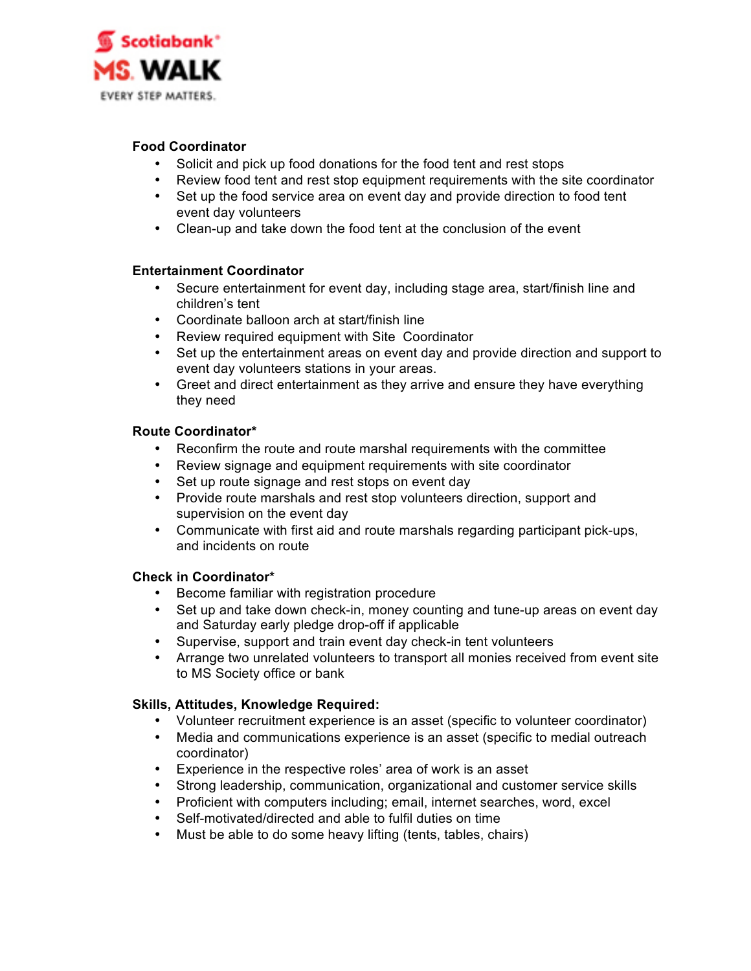

## **Food Coordinator**

- Solicit and pick up food donations for the food tent and rest stops
- Review food tent and rest stop equipment requirements with the site coordinator
- Set up the food service area on event day and provide direction to food tent event day volunteers
- Clean-up and take down the food tent at the conclusion of the event

### **Entertainment Coordinator**

- Secure entertainment for event day, including stage area, start/finish line and children's tent
- Coordinate balloon arch at start/finish line
- Review required equipment with Site Coordinator
- Set up the entertainment areas on event day and provide direction and support to event day volunteers stations in your areas.
- Greet and direct entertainment as they arrive and ensure they have everything they need

### **Route Coordinator\***

- Reconfirm the route and route marshal requirements with the committee
- Review signage and equipment requirements with site coordinator
- Set up route signage and rest stops on event day
- Provide route marshals and rest stop volunteers direction, support and supervision on the event day
- Communicate with first aid and route marshals regarding participant pick-ups, and incidents on route

## **Check in Coordinator\***

- Become familiar with registration procedure
- Set up and take down check-in, money counting and tune-up areas on event day and Saturday early pledge drop-off if applicable
- Supervise, support and train event day check-in tent volunteers
- Arrange two unrelated volunteers to transport all monies received from event site to MS Society office or bank

## **Skills, Attitudes, Knowledge Required:**

- Volunteer recruitment experience is an asset (specific to volunteer coordinator)
- Media and communications experience is an asset (specific to medial outreach coordinator)
- Experience in the respective roles' area of work is an asset
- Strong leadership, communication, organizational and customer service skills
- Proficient with computers including; email, internet searches, word, excel
- Self-motivated/directed and able to fulfil duties on time
- Must be able to do some heavy lifting (tents, tables, chairs)